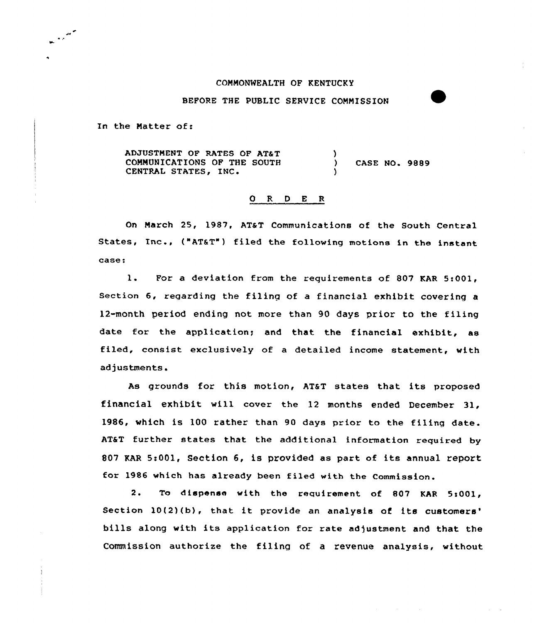## COMMONWEALTH OF KENTUCKY

BEFORE THE PUBLIC SERVICE COMMISSION

In the Natter of:

 $\mathbf{r}$ 

ADJUSTMENT OF RATES OF AT&T COMMUNICATIONS OF THE SOUTH CENTRAL STATES, INC )<br>) CASE NO. 9889 )

## 0 <sup>R</sup> <sup>D</sup> E <sup>R</sup>

On March 25, 1987, AT&T Communications of the South Central States, Inc., ("ATST") filed the following motions in the instant case:

1. For <sup>a</sup> deviation from the requirements of <sup>807</sup> KAR 5i001, Section 6, regarding the filing of a financial exhibit covering a 12-month period ending not more than 90 days prior to the filing date for the application; and that the financial exhibit, as filed, consist exclusively of a detailed income statement, with adjustments.

As grounds for this motion, AT&T states that its proposed financial exhibit, will cover the 12 months ended December 31, 1986, which is 100 rather than 90 days prior to the filing date. AT&T further states that the additional information required by 807 KAR 5:001, Section 6, is provided as part of its annual report for 1986 which has already been filed with the Commission.

2. To dispense with the requirement of 807 KAR 5:001, Section 10(2)(b), that it provide an analysis of its customers' bills along with its application for rate adjustment and that the Commission authorize the filing of a revenue analysis, without